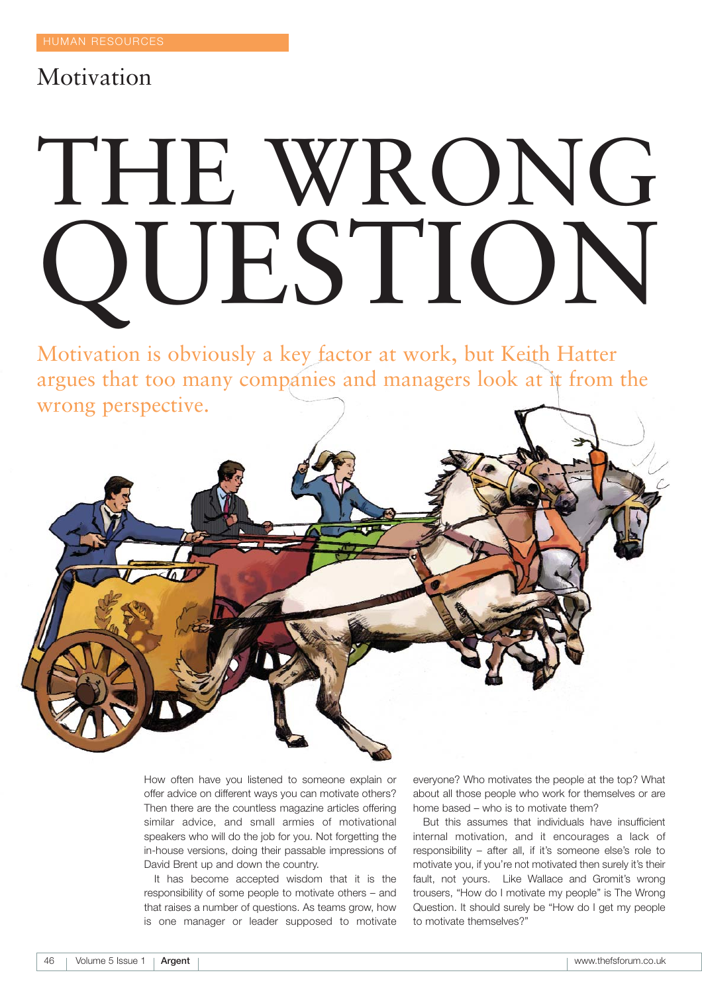# Motivation

# THE WRONG QUESTION

Motivation is obviously a key factor at work, but Keith Hatter argues that too many companies and managers look at it from the wrong perspective.



How often have you listened to someone explain or offer advice on different ways you can motivate others? Then there are the countless magazine articles offering similar advice, and small armies of motivational speakers who will do the job for you. Not forgetting the in-house versions, doing their passable impressions of David Brent up and down the country.

It has become accepted wisdom that it is the responsibility of some people to motivate others – and that raises a number of questions. As teams grow, how is one manager or leader supposed to motivate

everyone? Who motivates the people at the top? What about all those people who work for themselves or are home based – who is to motivate them?

But this assumes that individuals have insufficient internal motivation, and it encourages a lack of responsibility – after all, if it's someone else's role to motivate you, if you're not motivated then surely it's their fault, not yours. Like Wallace and Gromit's wrong trousers, "How do I motivate my people" is The Wrong Question. It should surely be "How do I get my people to motivate themselves?"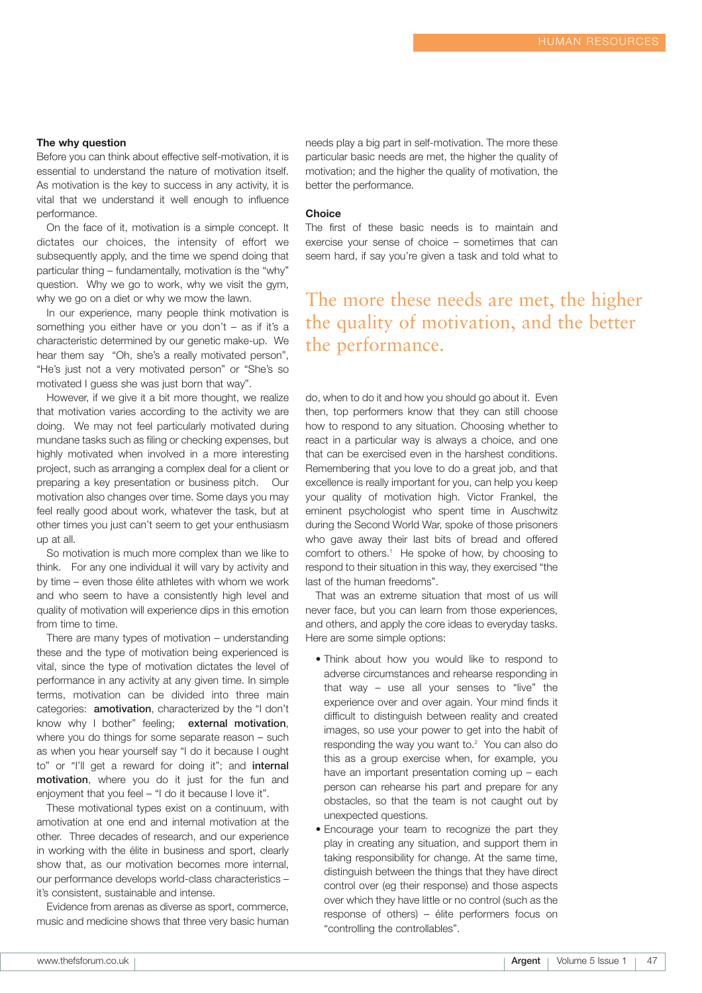# **The why question**

Before you can think about effective self-motivation, it is essential to understand the nature of motivation itself. As motivation is the key to success in any activity, it is vital that we understand it well enough to influence performance.

On the face of it, motivation is a simple concept. It dictates our choices, the intensity of effort we subsequently apply, and the time we spend doing that particular thing – fundamentally, motivation is the "why" question. Why we go to work, why we visit the gym, why we go on a diet or why we mow the lawn.

In our experience, many people think motivation is something you either have or you don't – as if it's a characteristic determined by our genetic make-up. We hear them say "Oh, she's a really motivated person", "He's just not a very motivated person" or "She's so motivated I guess she was just born that way".

However, if we give it a bit more thought, we realize that motivation varies according to the activity we are doing. We may not feel particularly motivated during mundane tasks such as filing or checking expenses, but highly motivated when involved in a more interesting project, such as arranging a complex deal for a client or preparing a key presentation or business pitch. Our motivation also changes over time. Some days you may feel really good about work, whatever the task, but at other times you just can't seem to get your enthusiasm up at all.

So motivation is much more complex than we like to think. For any one individual it will vary by activity and by time – even those élite athletes with whom we work and who seem to have a consistently high level and quality of motivation will experience dips in this emotion from time to time.

There are many types of motivation – understanding these and the type of motivation being experienced is vital, since the type of motivation dictates the level of performance in any activity at any given time. In simple terms, motivation can be divided into three main categories: **amotivation**, characterized by the "I don't know why I bother" feeling; **external motivation**, where you do things for some separate reason – such as when you hear yourself say "I do it because I ought to" or "I'll get a reward for doing it"; and **internal motivation**, where you do it just for the fun and enjoyment that you feel – "I do it because I love it".

These motivational types exist on a continuum, with amotivation at one end and internal motivation at the other. Three decades of research, and our experience in working with the élite in business and sport, clearly show that, as our motivation becomes more internal, our performance develops world-class characteristics – it's consistent, sustainable and intense.

Evidence from arenas as diverse as sport, commerce, music and medicine shows that three very basic human needs play a big part in self-motivation. The more these particular basic needs are met, the higher the quality of motivation; and the higher the quality of motivation, the better the performance.

# **Choice**

The first of these basic needs is to maintain and exercise your sense of choice – sometimes that can seem hard, if say you're given a task and told what to

# The more these needs are met, the higher the quality of motivation, and the better the performance.

do, when to do it and how you should go about it. Even then, top performers know that they can still choose how to respond to any situation. Choosing whether to react in a particular way is always a choice, and one that can be exercised even in the harshest conditions. Remembering that you love to do a great job, and that excellence is really important for you, can help you keep your quality of motivation high. Victor Frankel, the eminent psychologist who spent time in Auschwitz during the Second World War, spoke of those prisoners who gave away their last bits of bread and offered comfort to others.<sup>1</sup> He spoke of how, by choosing to respond to their situation in this way, they exercised "the last of the human freedoms".

That was an extreme situation that most of us will never face, but you can learn from those experiences, and others, and apply the core ideas to everyday tasks. Here are some simple options:

- Think about how you would like to respond to adverse circumstances and rehearse responding in that way – use all your senses to "live" the experience over and over again. Your mind finds it difficult to distinguish between reality and created images, so use your power to get into the habit of responding the way you want to.2 You can also do this as a group exercise when, for example, you have an important presentation coming up – each person can rehearse his part and prepare for any obstacles, so that the team is not caught out by unexpected questions.
- Encourage your team to recognize the part they play in creating any situation, and support them in taking responsibility for change. At the same time, distinguish between the things that they have direct control over (eg their response) and those aspects over which they have little or no control (such as the response of others) – élite performers focus on "controlling the controllables".